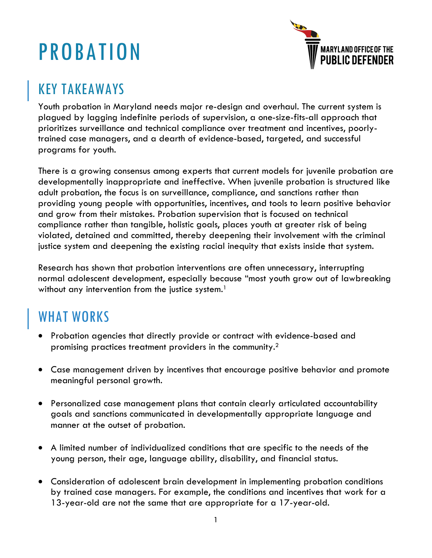# PROBATION



### KEY TAKEAWAYS

Youth probation in Maryland needs major re-design and overhaul. The current system is plagued by lagging indefinite periods of supervision, a one-size-fits-all approach that prioritizes surveillance and technical compliance over treatment and incentives, poorlytrained case managers, and a dearth of evidence-based, targeted, and successful programs for youth.

There is a growing consensus among experts that current models for juvenile probation are developmentally inappropriate and ineffective. When juvenile probation is structured like adult probation, the focus is on surveillance, compliance, and sanctions rather than providing young people with opportunities, incentives, and tools to learn positive behavior and grow from their mistakes. Probation supervision that is focused on technical compliance rather than tangible, holistic goals, places youth at greater risk of being violated, detained and committed, thereby deepening their involvement with the criminal justice system and deepening the existing racial inequity that exists inside that system.

Research has shown that probation interventions are often unnecessary, interrupting normal adolescent development, especially because "most youth grow out of lawbreaking without any intervention from the justice system.<sup>1</sup>

#### WHAT WORKS

- Probation agencies that directly provide or contract with evidence-based and promising practices treatment providers in the community. $^2$
- Case management driven by incentives that encourage positive behavior and promote meaningful personal growth.
- Personalized case management plans that contain clearly articulated accountability goals and sanctions communicated in developmentally appropriate language and manner at the outset of probation.
- A limited number of individualized conditions that are specific to the needs of the young person, their age, language ability, disability, and financial status.
- Consideration of adolescent brain development in implementing probation conditions by trained case managers. For example, the conditions and incentives that work for a 13-year-old are not the same that are appropriate for a 17-year-old.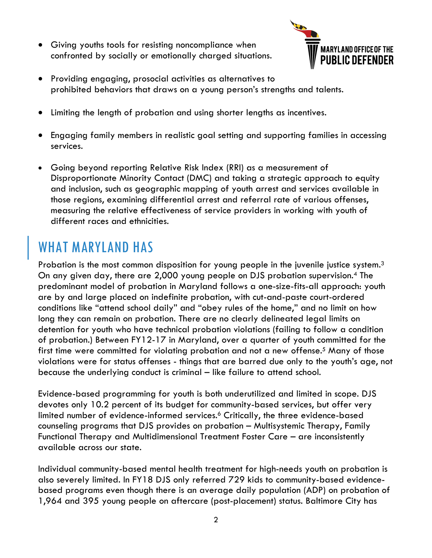• Giving youths tools for resisting noncompliance when confronted by socially or emotionally charged situations.



- Providing engaging, prosocial activities as alternatives to prohibited behaviors that draws on a young person's strengths and talents.
- Limiting the length of probation and using shorter lengths as incentives.
- Engaging family members in realistic goal setting and supporting families in accessing services.
- Going beyond reporting Relative Risk Index (RRI) as a measurement of Disproportionate Minority Contact (DMC) and taking a strategic approach to equity and inclusion, such as geographic mapping of youth arrest and services available in those regions, examining differential arrest and referral rate of various offenses, measuring the relative effectiveness of service providers in working with youth of different races and ethnicities.

### WHAT MARYLAND HAS

Probation is the most common disposition for young people in the juvenile justice system.<sup>3</sup> On any given day, there are 2,000 young people on DJS probation supervision. <sup>4</sup> The predominant model of probation in Maryland follows a one-size-fits-all approach: youth are by and large placed on indefinite probation, with cut-and-paste court-ordered conditions like "attend school daily" and "obey rules of the home," and no limit on how long they can remain on probation. There are no clearly delineated legal limits on detention for youth who have technical probation violations (failing to follow a condition of probation.) Between FY12-17 in Maryland, over a quarter of youth committed for the first time were committed for violating probation and not a new offense.<sup>5</sup> Many of those violations were for status offenses - things that are barred due only to the youth's age, not because the underlying conduct is criminal – like failure to attend school.

Evidence-based programming for youth is both underutilized and limited in scope. DJS devotes only 10.2 percent of its budget for community-based services, but offer very limited number of evidence-informed services.<sup>6</sup> Critically, the three evidence-based counseling programs that DJS provides on probation – Multisystemic Therapy, Family Functional Therapy and Multidimensional Treatment Foster Care – are inconsistently available across our state.

Individual community-based mental health treatment for high-needs youth on probation is also severely limited. In FY18 DJS only referred 729 kids to community-based evidencebased programs even though there is an average daily population (ADP) on probation of 1,964 and 395 young people on aftercare (post-placement) status. Baltimore City has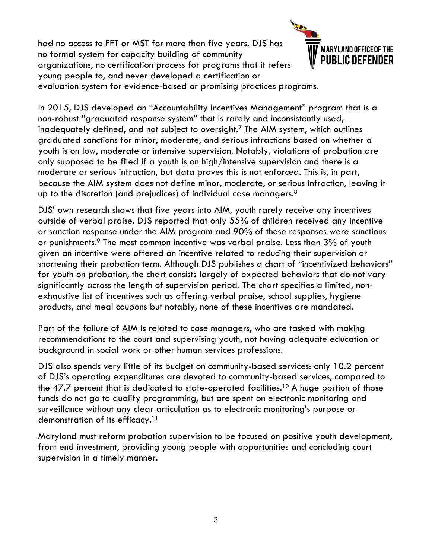had no access to FFT or MST for more than five years. DJS has no formal system for capacity building of community organizations, no certification process for programs that it refers young people to, and never developed a certification or evaluation system for evidence-based or promising practices programs.



In 2015, DJS developed an "Accountability Incentives Management" program that is a non-robust "graduated response system" that is rarely and inconsistently used, inadequately defined, and not subject to oversight.7 The AIM system, which outlines graduated sanctions for minor, moderate, and serious infractions based on whether a youth is on low, moderate or intensive supervision. Notably, violations of probation are only supposed to be filed if a youth is on high/intensive supervision and there is a moderate or serious infraction, but data proves this is not enforced. This is, in part, because the AIM system does not define minor, moderate, or serious infraction, leaving it up to the discretion (and prejudices) of individual case managers. $^8$ 

DJS' own research shows that five years into AIM, youth rarely receive any incentives outside of verbal praise. DJS reported that only 55% of children received any incentive or sanction response under the AIM program and 90% of those responses were sanctions or punishments.<sup>9</sup> The most common incentive was verbal praise. Less than 3% of youth given an incentive were offered an incentive related to reducing their supervision or shortening their probation term. Although DJS publishes a chart of "incentivized behaviors" for youth on probation, the chart consists largely of expected behaviors that do not vary significantly across the length of supervision period. The chart specifies a limited, nonexhaustive list of incentives such as offering verbal praise, school supplies, hygiene products, and meal coupons but notably, none of these incentives are mandated.

Part of the failure of AIM is related to case managers, who are tasked with making recommendations to the court and supervising youth, not having adequate education or background in social work or other human services professions.

DJS also spends very little of its budget on community-based services: only 10.2 percent of DJS's operating expenditures are devoted to community-based services, compared to the 47.7 percent that is dedicated to state-operated facilities.<sup>10</sup> A huge portion of those funds do not go to qualify programming, but are spent on electronic monitoring and surveillance without any clear articulation as to electronic monitoring's purpose or demonstration of its efficacy.<sup>11</sup>

Maryland must reform probation supervision to be focused on positive youth development, front end investment, providing young people with opportunities and concluding court supervision in a timely manner.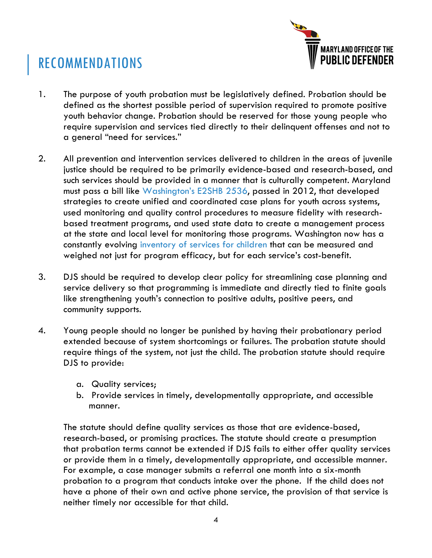## RECOMMENDATIONS



- 1. The purpose of youth probation must be legislatively defined. Probation should be defined as the shortest possible period of supervision required to promote positive youth behavior change. Probation should be reserved for those young people who require supervision and services tied directly to their delinquent offenses and not to a general "need for services."
- 2. All prevention and intervention services delivered to children in the areas of juvenile justice should be required to be primarily evidence-based and research-based, and such services should be provided in a manner that is culturally competent. Maryland must pass a bill like Washington's E2SHB 2536, passed in 2012, that developed strategies to create unified and coordinated case plans for youth across systems, used monitoring and quality control procedures to measure fidelity with researchbased treatment programs, and used state data to create a management process at the state and local level for monitoring those programs. Washington now has a constantly evolving inventory of services for children that can be measured and weighed not just for program efficacy, but for each service's cost-benefit.
- 3. DJS should be required to develop clear policy for streamlining case planning and service delivery so that programming is immediate and directly tied to finite goals like strengthening youth's connection to positive adults, positive peers, and community supports.
- 4. Young people should no longer be punished by having their probationary period extended because of system shortcomings or failures. The probation statute should require things of the system, not just the child. The probation statute should require DJS to provide:
	- a. Quality services;
	- b. Provide services in timely, developmentally appropriate, and accessible manner.

The statute should define quality services as those that are evidence-based, research-based, or promising practices. The statute should create a presumption that probation terms cannot be extended if DJS fails to either offer quality services or provide them in a timely, developmentally appropriate, and accessible manner. For example, a case manager submits a referral one month into a six-month probation to a program that conducts intake over the phone. If the child does not have a phone of their own and active phone service, the provision of that service is neither timely nor accessible for that child.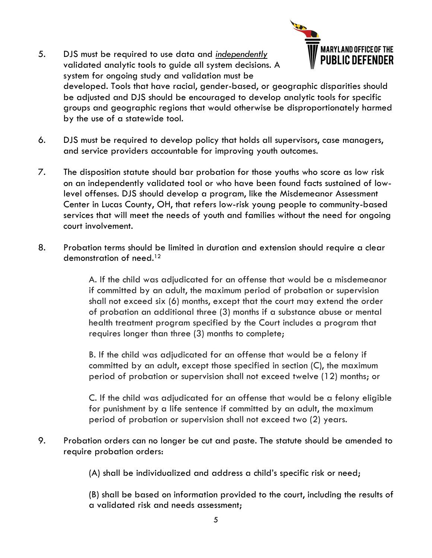- **MARYLAND OFFICE OF THE** 5. DJS must be required to use data and *independently* PUBLIC DEFENDER validated analytic tools to guide all system decisions. A system for ongoing study and validation must be developed. Tools that have racial, gender-based, or geographic disparities should be adjusted and DJS should be encouraged to develop analytic tools for specific groups and geographic regions that would otherwise be disproportionately harmed by the use of a statewide tool.
- 6. DJS must be required to develop policy that holds all supervisors, case managers, and service providers accountable for improving youth outcomes.
- 7. The disposition statute should bar probation for those youths who score as low risk on an independently validated tool or who have been found facts sustained of lowlevel offenses. DJS should develop a program, like the Misdemeanor Assessment Center in Lucas County, OH, that refers low-risk young people to community-based services that will meet the needs of youth and families without the need for ongoing court involvement.
- 8. Probation terms should be limited in duration and extension should require a clear demonstration of need.12

A. If the child was adjudicated for an offense that would be a misdemeanor if committed by an adult, the maximum period of probation or supervision shall not exceed six (6) months, except that the court may extend the order of probation an additional three (3) months if a substance abuse or mental health treatment program specified by the Court includes a program that requires longer than three (3) months to complete;

B. If the child was adjudicated for an offense that would be a felony if committed by an adult, except those specified in section (C), the maximum period of probation or supervision shall not exceed twelve (12) months; or

C. If the child was adjudicated for an offense that would be a felony eligible for punishment by a life sentence if committed by an adult, the maximum period of probation or supervision shall not exceed two (2) years.

9. Probation orders can no longer be cut and paste. The statute should be amended to require probation orders:

(A) shall be individualized and address a child's specific risk or need;

(B) shall be based on information provided to the court, including the results of a validated risk and needs assessment;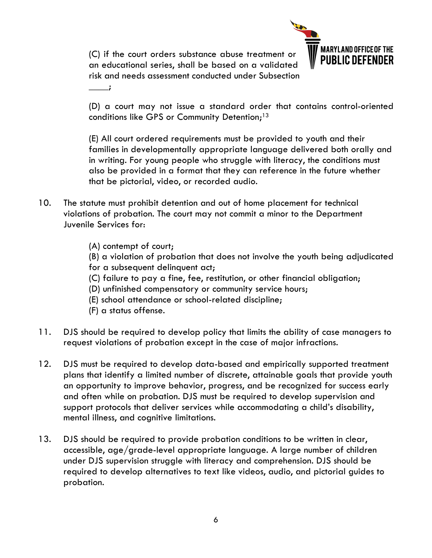(C) if the court orders substance abuse treatment or an educational series, shall be based on a validated risk and needs assessment conducted under Subsection



(D) a court may not issue a standard order that contains control-oriented conditions like GPS or Community Detention;<sup>13</sup>

(E) All court ordered requirements must be provided to youth and their families in developmentally appropriate language delivered both orally and in writing. For young people who struggle with literacy, the conditions must also be provided in a format that they can reference in the future whether that be pictorial, video, or recorded audio.

- 10. The statute must prohibit detention and out of home placement for technical violations of probation. The court may not commit a minor to the Department Juvenile Services for:
	- (A) contempt of court;

 $\overline{\phantom{a}}$ 

- (B) a violation of probation that does not involve the youth being adjudicated
- for a subsequent delinquent act;
- (C) failure to pay a fine, fee, restitution, or other financial obligation;
- (D) unfinished compensatory or community service hours;
- (E) school attendance or school-related discipline;
- (F) a status offense.
- 11. DJS should be required to develop policy that limits the ability of case managers to request violations of probation except in the case of major infractions.
- 12. DJS must be required to develop data-based and empirically supported treatment plans that identify a limited number of discrete, attainable goals that provide youth an opportunity to improve behavior, progress, and be recognized for success early and often while on probation. DJS must be required to develop supervision and support protocols that deliver services while accommodating a child's disability, mental illness, and cognitive limitations.
- 13. DJS should be required to provide probation conditions to be written in clear, accessible, age/grade-level appropriate language. A large number of children under DJS supervision struggle with literacy and comprehension. DJS should be required to develop alternatives to text like videos, audio, and pictorial guides to probation.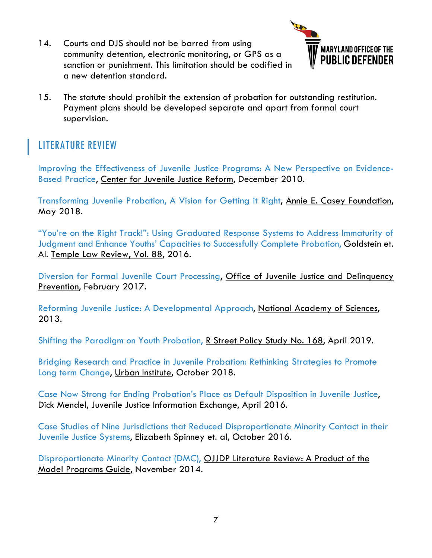14. Courts and DJS should not be barred from using community detention, electronic monitoring, or GPS as a sanction or punishment. This limitation should be codified in a new detention standard.



15. The statute should prohibit the extension of probation for outstanding restitution. Payment plans should be developed separate and apart from formal court supervision.

#### LITERATURE REVIEW

Improving the Effectiveness of Juvenile Justice Programs: A New Perspective on Evidence-Based Practice, Center for Juvenile Justice Reform, December 2010.

Transforming Juvenile Probation, A Vision for Getting it Right, Annie E. Casey Foundation, May 2018.

"You're on the Right Track!": Using Graduated Response Systems to Address Immaturity of Judgment and Enhance Youths' Capacities to Successfully Complete Probation, Goldstein et. Al. Temple Law Review, Vol. 88, 2016.

Diversion for Formal Juvenile Court Processing, Office of Juvenile Justice and Delinquency Prevention, February 2017.

Reforming Juvenile Justice: A Developmental Approach, National Academy of Sciences, 2013.

Shifting the Paradigm on Youth Probation, R Street Policy Study No. 168, April 2019.

Bridging Research and Practice in Juvenile Probation: Rethinking Strategies to Promote Long term Change, Urban Institute, October 2018.

Case Now Strong for Ending Probation's Place as Default Disposition in Juvenile Justice, Dick Mendel, Juvenile Justice Information Exchange, April 2016.

Case Studies of Nine Jurisdictions that Reduced Disproportionate Minority Contact in their Juvenile Justice Systems, Elizabeth Spinney et. al, October 2016.

Disproportionate Minority Contact (DMC), OJJDP Literature Review: A Product of the Model Programs Guide, November 2014.